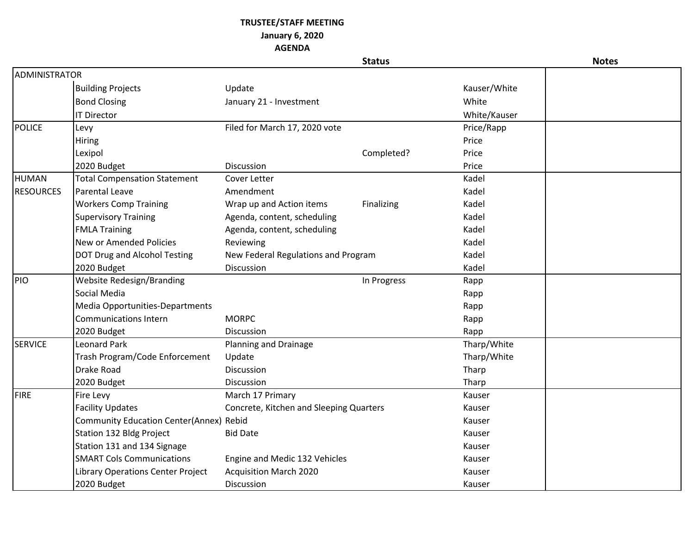## **TRUSTEE/STAFF MEETING**

## **January 6, 2020**

**AGENDA**

|                      |                                                |                                         | <b>Status</b> |              | <b>Notes</b> |
|----------------------|------------------------------------------------|-----------------------------------------|---------------|--------------|--------------|
| <b>ADMINISTRATOR</b> |                                                |                                         |               |              |              |
|                      | <b>Building Projects</b>                       | Update                                  |               | Kauser/White |              |
|                      | <b>Bond Closing</b>                            | January 21 - Investment                 |               | White        |              |
|                      | <b>IT Director</b>                             |                                         |               | White/Kauser |              |
| <b>POLICE</b>        | Levy                                           | Filed for March 17, 2020 vote           |               | Price/Rapp   |              |
|                      | Hiring                                         |                                         |               | Price        |              |
|                      | Lexipol                                        |                                         | Completed?    | Price        |              |
|                      | 2020 Budget                                    | Discussion                              |               | Price        |              |
| HUMAN                | <b>Total Compensation Statement</b>            | Cover Letter                            |               | Kadel        |              |
| <b>RESOURCES</b>     | <b>Parental Leave</b>                          | Amendment                               |               | Kadel        |              |
|                      | <b>Workers Comp Training</b>                   | Wrap up and Action items                | Finalizing    | Kadel        |              |
|                      | <b>Supervisory Training</b>                    | Agenda, content, scheduling             |               | Kadel        |              |
|                      | <b>FMLA Training</b>                           | Agenda, content, scheduling             |               | Kadel        |              |
|                      | New or Amended Policies                        | Reviewing                               |               | Kadel        |              |
|                      | DOT Drug and Alcohol Testing                   | New Federal Regulations and Program     |               | Kadel        |              |
|                      | 2020 Budget                                    | Discussion                              |               | Kadel        |              |
| PIO                  | Website Redesign/Branding                      |                                         | In Progress   | Rapp         |              |
|                      | Social Media                                   |                                         |               | Rapp         |              |
|                      | Media Opportunities-Departments                |                                         |               | Rapp         |              |
|                      | <b>Communications Intern</b>                   | <b>MORPC</b>                            |               | Rapp         |              |
|                      | 2020 Budget                                    | Discussion                              |               | Rapp         |              |
| <b>SERVICE</b>       | <b>Leonard Park</b>                            | Planning and Drainage                   |               | Tharp/White  |              |
|                      | Trash Program/Code Enforcement                 | Update                                  |               | Tharp/White  |              |
|                      | Drake Road                                     | Discussion                              |               | Tharp        |              |
|                      | 2020 Budget                                    | Discussion                              |               | Tharp        |              |
| <b>FIRE</b>          | Fire Levy                                      | March 17 Primary                        |               | Kauser       |              |
|                      | <b>Facility Updates</b>                        | Concrete, Kitchen and Sleeping Quarters |               | Kauser       |              |
|                      | <b>Community Education Center(Annex) Rebid</b> |                                         |               | Kauser       |              |
|                      | Station 132 Bldg Project                       | <b>Bid Date</b>                         |               | Kauser       |              |
|                      | Station 131 and 134 Signage                    |                                         |               | Kauser       |              |
|                      | <b>SMART Cols Communications</b>               | Engine and Medic 132 Vehicles           |               | Kauser       |              |
|                      | Library Operations Center Project              | <b>Acquisition March 2020</b>           |               | Kauser       |              |
|                      | 2020 Budget                                    | Discussion                              |               | Kauser       |              |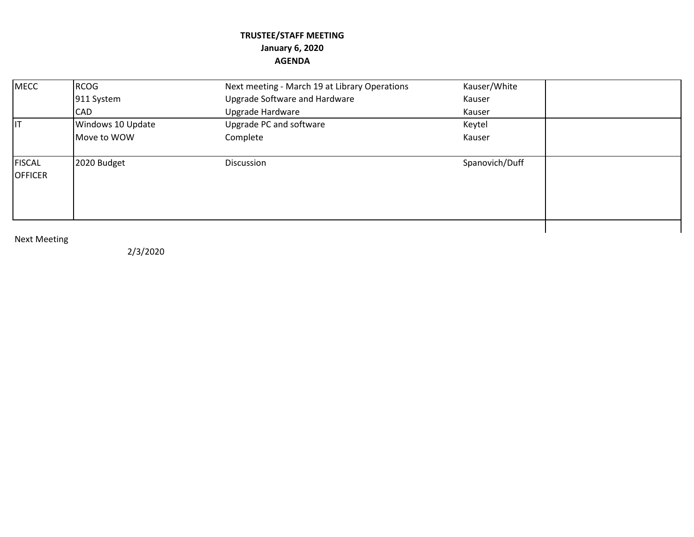## **TRUSTEE/STAFF MEETING January 6, 2020 AGENDA**

| <b>MECC</b>                     | RCOG              | Next meeting - March 19 at Library Operations | Kauser/White   |  |
|---------------------------------|-------------------|-----------------------------------------------|----------------|--|
|                                 | 911 System        | Upgrade Software and Hardware                 | Kauser         |  |
|                                 | <b>CAD</b>        | Upgrade Hardware                              | Kauser         |  |
| <b>I</b> IT                     | Windows 10 Update | Upgrade PC and software                       | Keytel         |  |
|                                 | Move to WOW       | Complete                                      | Kauser         |  |
| <b>FISCAL</b><br><b>OFFICER</b> | 2020 Budget       | Discussion                                    | Spanovich/Duff |  |
|                                 |                   |                                               |                |  |

## Next Meeting

2/3/2020